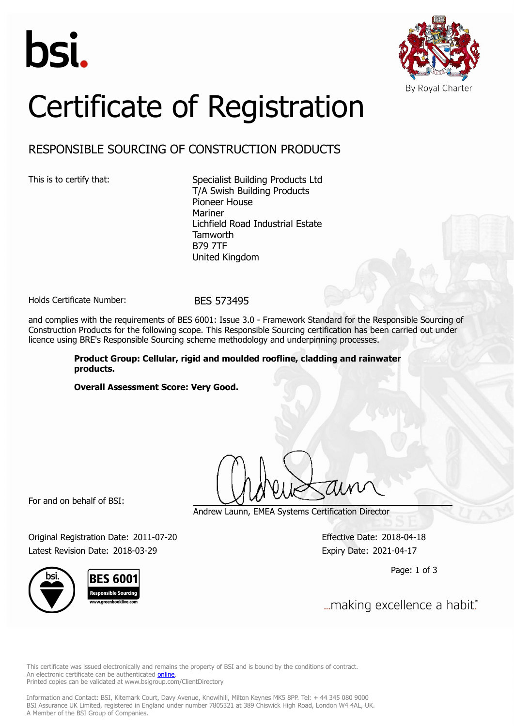



# Certificate of Registration

## RESPONSIBLE SOURCING OF CONSTRUCTION PRODUCTS

This is to certify that: Specialist Building Products Ltd T/A Swish Building Products Pioneer House Mariner Lichfield Road Industrial Estate **Tamworth** B79 7TF United Kingdom

Holds Certificate Number: BES 573495

and complies with the requirements of BES 6001: Issue 3.0 - Framework Standard for the Responsible Sourcing of Construction Products for the following scope. This Responsible Sourcing certification has been carried out under licence using BRE's Responsible Sourcing scheme methodology and underpinning processes.

> **Product Group: Cellular, rigid and moulded roofline, cladding and rainwater products.**

**Overall Assessment Score: Very Good.**

For and on behalf of BSI:

Andrew Launn, EMEA Systems Certification Director

Original Registration Date: 2011-07-20 Effective Date: 2018-04-18 Latest Revision Date: 2018-03-29 Expiry Date: 2021-04-17

Page: 1 of 3

... making excellence a habit."

This certificate was issued electronically and remains the property of BSI and is bound by the conditions of contract. An electronic certificate can be authenticated **[online](https://pgplus.bsigroup.com/CertificateValidation/CertificateValidator.aspx?CertificateNumber=BES+573495&ReIssueDate=29%2f03%2f2018&Template=uk)**. Printed copies can be validated at www.bsigroup.com/ClientDirectory

Information and Contact: BSI, Kitemark Court, Davy Avenue, Knowlhill, Milton Keynes MK5 8PP. Tel: + 44 345 080 9000 BSI Assurance UK Limited, registered in England under number 7805321 at 389 Chiswick High Road, London W4 4AL, UK. A Member of the BSI Group of Companies.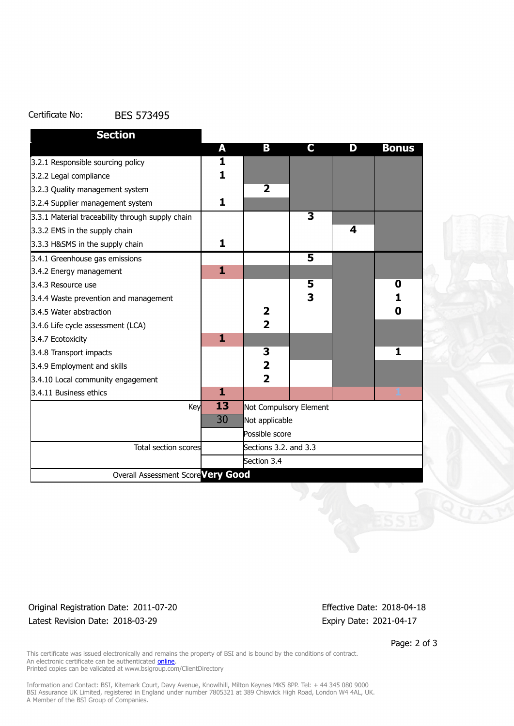#### Certificate No: BES 573495

| <b>Section</b>                                   |                 |                         |                         |   |              |
|--------------------------------------------------|-----------------|-------------------------|-------------------------|---|--------------|
|                                                  | A               | В                       | C.                      | D | <b>Bonus</b> |
| 3.2.1 Responsible sourcing policy                | 1               |                         |                         |   |              |
| 3.2.2 Legal compliance                           | $\mathbf{1}$    |                         |                         |   |              |
| 3.2.3 Quality management system                  |                 | $\overline{\mathbf{2}}$ |                         |   |              |
| 3.2.4 Supplier management system                 | 1               |                         |                         |   |              |
| 3.3.1 Material traceability through supply chain |                 |                         | $\overline{\mathbf{3}}$ |   |              |
| 3.3.2 EMS in the supply chain                    |                 |                         |                         | 4 |              |
| 3.3.3 H&SMS in the supply chain                  | 1               |                         |                         |   |              |
| 3.4.1 Greenhouse gas emissions                   |                 |                         | $\overline{5}$          |   |              |
| 3.4.2 Energy management                          | 1               |                         |                         |   |              |
| 3.4.3 Resource use                               |                 |                         | 5                       |   | 0            |
| 3.4.4 Waste prevention and management            |                 |                         | 3                       |   | 1            |
| 3.4.5 Water abstraction                          |                 | $\overline{\mathbf{2}}$ |                         |   | 0            |
| 3.4.6 Life cycle assessment (LCA)                |                 | $\overline{2}$          |                         |   |              |
| 3.4.7 Ecotoxicity                                | 1               |                         |                         |   |              |
| 3.4.8 Transport impacts                          |                 | 3                       |                         |   | 1            |
| 3.4.9 Employment and skills                      |                 | $\overline{\mathbf{2}}$ |                         |   |              |
| 3.4.10 Local community engagement                |                 | $\overline{2}$          |                         |   |              |
| 3.4.11 Business ethics                           | 1               |                         |                         |   | 1            |
| Key                                              | $\overline{13}$ | Not Compulsory Element  |                         |   |              |
|                                                  | 30              | Not applicable          |                         |   |              |
|                                                  |                 | Possible score          |                         |   |              |
| <b>Total section scores</b>                      |                 | Sections 3.2. and 3.3   |                         |   |              |
|                                                  |                 | Section 3.4             |                         |   |              |
| Overall Assessment Score Very Good               |                 |                         |                         |   |              |

### Original Registration Date: 2011-07-20 Effective Date: 2018-04-18 Latest Revision Date: 2018-03-29 Expiry Date: 2021-04-17

Page: 2 of 3

This certificate was issued electronically and remains the property of BSI and is bound by the conditions of contract. An electronic certificate can be authenticated **[online](https://pgplus.bsigroup.com/CertificateValidation/CertificateValidator.aspx?CertificateNumber=BES+573495&ReIssueDate=29%2f03%2f2018&Template=uk)**. Printed copies can be validated at www.bsigroup.com/ClientDirectory

Information and Contact: BSI, Kitemark Court, Davy Avenue, Knowlhill, Milton Keynes MK5 8PP. Tel: + 44 345 080 9000 BSI Assurance UK Limited, registered in England under number 7805321 at 389 Chiswick High Road, London W4 4AL, UK. A Member of the BSI Group of Companies.